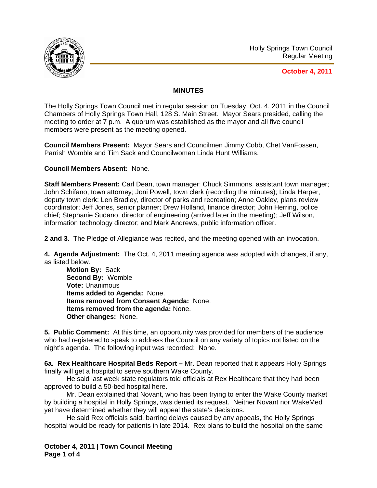

**October 4, 2011**

## **MINUTES**

The Holly Springs Town Council met in regular session on Tuesday, Oct. 4, 2011 in the Council Chambers of Holly Springs Town Hall, 128 S. Main Street. Mayor Sears presided, calling the meeting to order at 7 p.m. A quorum was established as the mayor and all five council members were present as the meeting opened.

**Council Members Present:** Mayor Sears and Councilmen Jimmy Cobb, Chet VanFossen, Parrish Womble and Tim Sack and Councilwoman Linda Hunt Williams.

**Council Members Absent:** None.

**Staff Members Present:** Carl Dean, town manager; Chuck Simmons, assistant town manager; John Schifano, town attorney; Joni Powell, town clerk (recording the minutes); Linda Harper, deputy town clerk; Len Bradley, director of parks and recreation; Anne Oakley, plans review coordinator; Jeff Jones, senior planner; Drew Holland, finance director; John Herring, police chief; Stephanie Sudano, director of engineering (arrived later in the meeting); Jeff Wilson, information technology director; and Mark Andrews, public information officer.

**2 and 3.** The Pledge of Allegiance was recited, and the meeting opened with an invocation.

**4. Agenda Adjustment:** The Oct. 4, 2011 meeting agenda was adopted with changes, if any, as listed below.

**Motion By:** Sack **Second By:** Womble **Vote:** Unanimous **Items added to Agenda:** None. **Items removed from Consent Agenda:** None. **Items removed from the agenda:** None. **Other changes:** None.

**5. Public Comment:** At this time, an opportunity was provided for members of the audience who had registered to speak to address the Council on any variety of topics not listed on the night's agenda. The following input was recorded: None.

**6a. Rex Healthcare Hospital Beds Report –** Mr. Dean reported that it appears Holly Springs finally will get a hospital to serve southern Wake County.

 He said last week state regulators told officials at Rex Healthcare that they had been approved to build a 50-bed hospital here.

 Mr. Dean explained that Novant, who has been trying to enter the Wake County market by building a hospital in Holly Springs, was denied its request. Neither Novant nor WakeMed yet have determined whether they will appeal the state's decisions.

 He said Rex officials said, barring delays caused by any appeals, the Holly Springs hospital would be ready for patients in late 2014. Rex plans to build the hospital on the same

**October 4, 2011 | Town Council Meeting Page 1 of 4**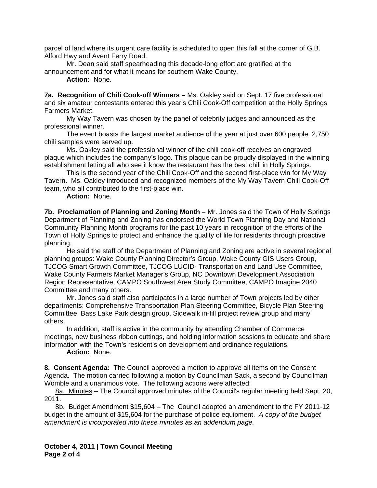parcel of land where its urgent care facility is scheduled to open this fall at the corner of G.B. Alford Hwy and Avent Ferry Road.

 Mr. Dean said staff spearheading this decade-long effort are gratified at the announcement and for what it means for southern Wake County.

 **Action:** None.

**7a. Recognition of Chili Cook-off Winners –** Ms. Oakley said on Sept. 17 five professional and six amateur contestants entered this year's Chili Cook-Off competition at the Holly Springs Farmers Market.

My Way Tavern was chosen by the panel of celebrity judges and announced as the professional winner.

The event boasts the largest market audience of the year at just over 600 people. 2,750 chili samples were served up.

Ms. Oakley said the professional winner of the chili cook-off receives an engraved plaque which includes the company's logo. This plaque can be proudly displayed in the winning establishment letting all who see it know the restaurant has the best chili in Holly Springs.

 This is the second year of the Chili Cook-Off and the second first-place win for My Way Tavern. Ms. Oakley introduced and recognized members of the My Way Tavern Chili Cook-Off team, who all contributed to the first-place win.

**Action:** None.

**7b. Proclamation of Planning and Zoning Month –** Mr. Jones said the Town of Holly Springs Department of Planning and Zoning has endorsed the World Town Planning Day and National Community Planning Month programs for the past 10 years in recognition of the efforts of the Town of Holly Springs to protect and enhance the quality of life for residents through proactive planning.

 He said the staff of the Department of Planning and Zoning are active in several regional planning groups: Wake County Planning Director's Group, Wake County GIS Users Group, TJCOG Smart Growth Committee, TJCOG LUCID- Transportation and Land Use Committee, Wake County Farmers Market Manager's Group, NC Downtown Development Association Region Representative, CAMPO Southwest Area Study Committee, CAMPO Imagine 2040 Committee and many others.

 Mr. Jones said staff also participates in a large number of Town projects led by other departments: Comprehensive Transportation Plan Steering Committee, Bicycle Plan Steering Committee, Bass Lake Park design group, Sidewalk in-fill project review group and many others.

 In addition, staff is active in the community by attending Chamber of Commerce meetings, new business ribbon cuttings, and holding information sessions to educate and share information with the Town's resident's on development and ordinance regulations.

**Action:** None.

**8. Consent Agenda:** The Council approved a motion to approve all items on the Consent Agenda. The motion carried following a motion by Councilman Sack, a second by Councilman Womble and a unanimous vote. The following actions were affected:

8a. Minutes – The Council approved minutes of the Council's regular meeting held Sept. 20, 2011.

8b. Budget Amendment \$15,604 - The Council adopted an amendment to the FY 2011-12 budget in the amount of \$15,604 for the purchase of police equipment. *A copy of the budget amendment is incorporated into these minutes as an addendum page.*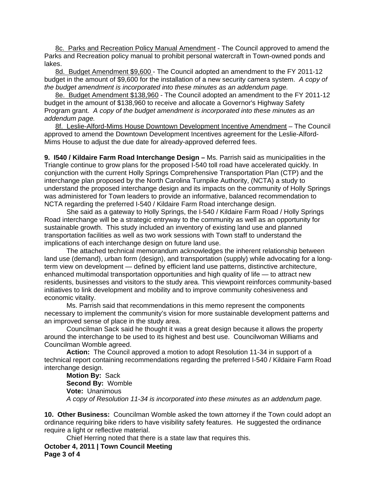8c. Parks and Recreation Policy Manual Amendment - The Council approved to amend the Parks and Recreation policy manual to prohibit personal watercraft in Town-owned ponds and lakes.

8d. Budget Amendment \$9,600 - The Council adopted an amendment to the FY 2011-12 budget in the amount of \$9,600 for the installation of a new security camera system.*A copy of the budget amendment is incorporated into these minutes as an addendum page.*

8e. Budget Amendment \$138,960 - The Council adopted an amendment to the FY 2011-12 budget in the amount of \$138,960 to receive and allocate a Governor's Highway Safety Program grant. *A copy of the budget amendment is incorporated into these minutes as an addendum page.*

8f. Leslie-Alford-Mims House Downtown Development Incentive Amendment – The Council approved to amend the Downtown Development Incentives agreement for the Leslie-Alford-Mims House to adjust the due date for already-approved deferred fees.

**9. I540 / Kildaire Farm Road Interchange Design –** Ms. Parrish said as municipalities in the Triangle continue to grow plans for the proposed I-540 toll road have accelerated quickly. In conjunction with the current Holly Springs Comprehensive Transportation Plan (CTP) and the interchange plan proposed by the North Carolina Turnpike Authority, (NCTA) a study to understand the proposed interchange design and its impacts on the community of Holly Springs was administered for Town leaders to provide an informative, balanced recommendation to NCTA regarding the preferred I-540 / Kildaire Farm Road interchange design.

She said as a gateway to Holly Springs, the I-540 / Kildaire Farm Road / Holly Springs Road interchange will be a strategic entryway to the community as well as an opportunity for sustainable growth. This study included an inventory of existing land use and planned transportation facilities as well as two work sessions with Town staff to understand the implications of each interchange design on future land use.

The attached technical memorandum acknowledges the inherent relationship between land use (demand), urban form (design), and transportation (supply) while advocating for a longterm view on development — defined by efficient land use patterns, distinctive architecture, enhanced multimodal transportation opportunities and high quality of life — to attract new residents, businesses and visitors to the study area. This viewpoint reinforces community-based initiatives to link development and mobility and to improve community cohesiveness and economic vitality.

Ms. Parrish said that recommendations in this memo represent the components necessary to implement the community's vision for more sustainable development patterns and an improved sense of place in the study area.

 Councilman Sack said he thought it was a great design because it allows the property around the interchange to be used to its highest and best use. Councilwoman Williams and Councilman Womble agreed.

**Action:** The Council approved a motion to adopt Resolution 11-34 in support of a technical report containing recommendations regarding the preferred I-540 / Kildaire Farm Road interchange design.

**Motion By:** Sack  **Second By:** Womble  **Vote:** Unanimous *A copy of Resolution 11-34 is incorporated into these minutes as an addendum page.*

**10. Other Business:** Councilman Womble asked the town attorney if the Town could adopt an ordinance requiring bike riders to have visibility safety features. He suggested the ordinance require a light or reflective material.

Chief Herring noted that there is a state law that requires this.

**October 4, 2011 | Town Council Meeting Page 3 of 4**